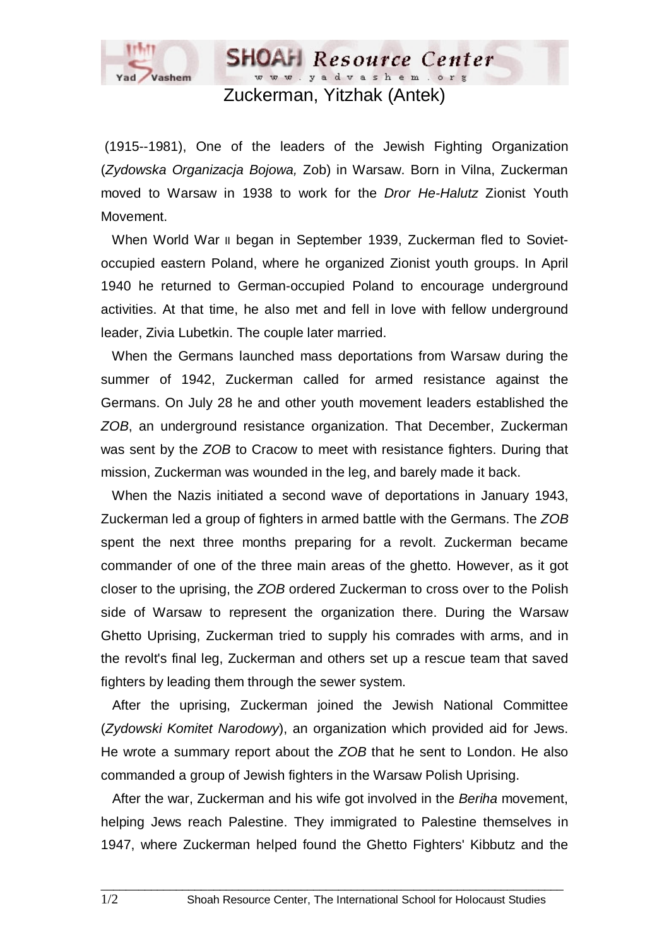

Zuckerman, Yitzhak (Antek)

**SHOAH** Resource Center www.yadvashem.org

 (1915--1981), One of the leaders of the Jewish Fighting Organization (*Zydowska Organizacja Bojowa,* Zob) in Warsaw. Born in Vilna, Zuckerman moved to Warsaw in 1938 to work for the *Dror He-Halutz* Zionist Youth Movement.

When World War II began in September 1939, Zuckerman fled to Sovietoccupied eastern Poland, where he organized Zionist youth groups. In April 1940 he returned to German-occupied Poland to encourage underground activities. At that time, he also met and fell in love with fellow underground leader, Zivia Lubetkin. The couple later married.

 When the Germans launched mass deportations from Warsaw during the summer of 1942, Zuckerman called for armed resistance against the Germans. On July 28 he and other youth movement leaders established the *ZOB*, an underground resistance organization. That December, Zuckerman was sent by the *ZOB* to Cracow to meet with resistance fighters. During that mission, Zuckerman was wounded in the leg, and barely made it back.

 When the Nazis initiated a second wave of deportations in January 1943, Zuckerman led a group of fighters in armed battle with the Germans. The *ZOB* spent the next three months preparing for a revolt. Zuckerman became commander of one of the three main areas of the ghetto. However, as it got closer to the uprising, the *ZOB* ordered Zuckerman to cross over to the Polish side of Warsaw to represent the organization there. During the Warsaw Ghetto Uprising, Zuckerman tried to supply his comrades with arms, and in the revolt's final leg, Zuckerman and others set up a rescue team that saved fighters by leading them through the sewer system.

 After the uprising, Zuckerman joined the Jewish National Committee (*Zydowski Komitet Narodowy*), an organization which provided aid for Jews. He wrote a summary report about the *ZOB* that he sent to London. He also commanded a group of Jewish fighters in the Warsaw Polish Uprising.

 After the war, Zuckerman and his wife got involved in the *Beriha* movement, helping Jews reach Palestine. They immigrated to Palestine themselves in 1947, where Zuckerman helped found the Ghetto Fighters' Kibbutz and the

 $\Box$  . The contribution of the contribution of the contribution of the contribution of the contribution of the contribution of the contribution of the contribution of the contribution of the contribution of the contributi